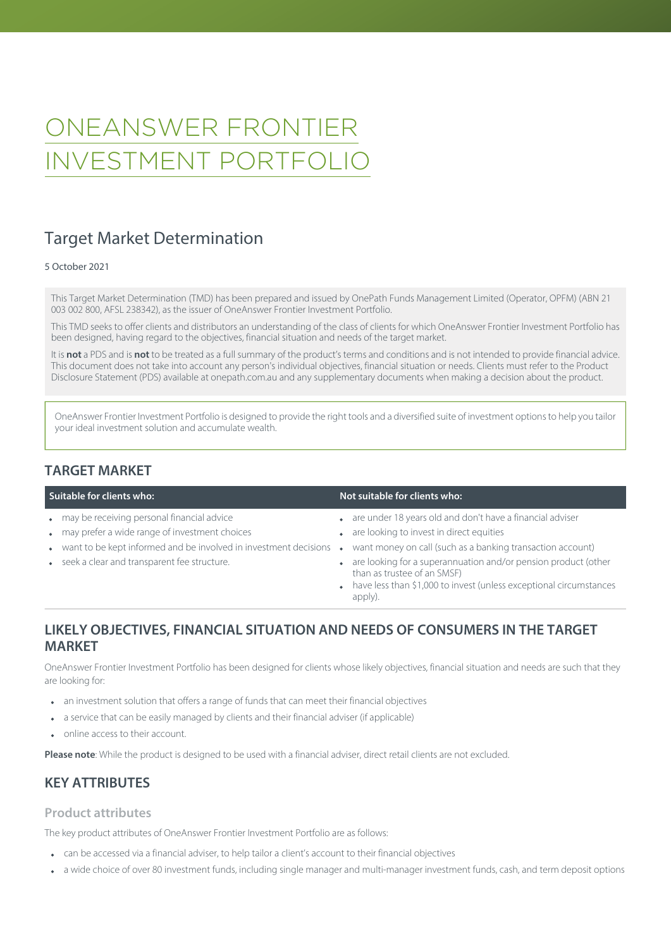# ONEANSWER FRONTIER INVESTMENT PORTFOLIO

## Target Market Determination

#### 5 October 2021

This Target Market Determination (TMD) has been prepared and issued by OnePath Funds Management Limited (Operator, OPFM) (ABN 21 003 002 800, AFSL 238342), as the issuer of OneAnswer Frontier Investment Portfolio.

This TMD seeks to offer clients and distributors an understanding of the class of clients for which OneAnswer Frontier Investment Portfolio has been designed, having regard to the objectives, financial situation and needs of the target market.

It is **not** a PDS and is **not** to be treated as a full summary of the product's terms and conditions and is not intended to provide financial advice. This document does not take into account any person's individual objectives, financial situation or needs. Clients must refer to the Product Disclosure Statement (PDS) available at [onepath.com.au](http://www.onepath.com.au/superandinvestment/forms-and-brochures.aspx) and any supplementary documents when making a decision about the product.

OneAnswer Frontier Investment Portfolio is designed to provide the right tools and a diversified suite of investment options to help you tailor your ideal investment solution and accumulate wealth.

#### **TARGET MARKET**

- 
- may prefer a wide range of investment choices **are are looking to invest in direct equities**
- want to be kept informed and be involved in investment decisions want money on call (such as a banking transaction account)
- 

#### **Suitable for clients who: Not suitable for clients who: Not suitable for clients who: Not suitable for clients who:**

- may be receiving personal financial advice are are are under 18 years old and don't have a financial adviser
	-
	-
	- seek a clear and transparent fee structure.  $\bullet$  are looking for a superannuation and/or pension product (other than as trustee of an SMSF)
		- have less than \$1,000 to invest (unless exceptional circumstances apply).

#### **LIKELY OBJECTIVES, FINANCIAL SITUATION AND NEEDS OF CONSUMERS IN THE TARGET MARKET**

OneAnswer Frontier Investment Portfolio has been designed for clients whose likely objectives, financial situation and needs are such that they are looking for:

- an investment solution that offers a range of funds that can meet their financial objectives
- a service that can be easily managed by clients and their financial adviser (if applicable)
- online access to their account.

**Please note**: While the product is designed to be used with a financial adviser, direct retail clients are not excluded.

### **KEY ATTRIBUTES**

#### **Product attributes**

The key product attributes of OneAnswer Frontier Investment Portfolio are as follows:

- can be accessed via a financial adviser, to help tailor a client's account to their financial objectives
- a wide choice of over 80 investment funds, including single manager and multi-manager investment funds, cash, and term deposit options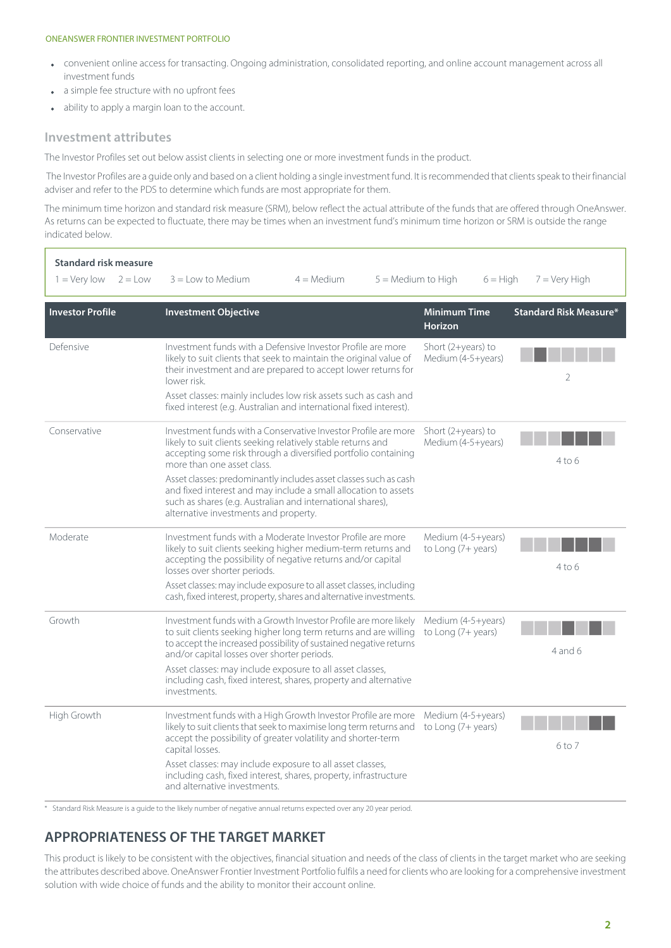#### ONEANSWER FRONTIER INVESTMENT PORTFOLIO

- convenient online access for transacting. Ongoing administration, consolidated reporting, and online account management across all investment funds
- a simple fee structure with no upfront fees
- ability to apply a margin loan to the account.  $\ddot{\phantom{a}}$

#### **Investment attributes**

The Investor Profiles set out below assist clients in selecting one or more investment funds in the product.

The Investor Profiles are a guide only and based on a client holding a single investment fund. It is recommended that clients speak to their financial adviser and refer to the PDS to determine which funds are most appropriate for them.

The minimum time horizon and standard risk measure (SRM), below reflect the actual attribute of the funds that are offered through OneAnswer. As returns can be expected to fluctuate, there may be times when an investment fund's minimum time horizon or SRM is outside the range indicated below.

| <b>Standard risk measure</b><br>$1 = \text{Very}$ low<br>$2 = Low$ | $3 =$ Low to Medium<br>$4 = \text{Median}$                                                                                                                                                                                                                                                                                                                                               | $5 =$ Medium to High           | $6 = High$                                 | $7 =$ Very High               |
|--------------------------------------------------------------------|------------------------------------------------------------------------------------------------------------------------------------------------------------------------------------------------------------------------------------------------------------------------------------------------------------------------------------------------------------------------------------------|--------------------------------|--------------------------------------------|-------------------------------|
| <b>Investor Profile</b>                                            | <b>Investment Objective</b>                                                                                                                                                                                                                                                                                                                                                              | Minimum Time<br><b>Horizon</b> |                                            | <b>Standard Risk Measure*</b> |
| Defensive                                                          | Investment funds with a Defensive Investor Profile are more<br>likely to suit clients that seek to maintain the original value of<br>their investment and are prepared to accept lower returns for<br>lower risk.                                                                                                                                                                        |                                | Short $(2+years)$ to<br>Medium (4-5+years) | 2                             |
|                                                                    | Asset classes: mainly includes low risk assets such as cash and<br>fixed interest (e.g. Australian and international fixed interest).                                                                                                                                                                                                                                                    |                                |                                            |                               |
| Conservative                                                       | Investment funds with a Conservative Investor Profile are more<br>likely to suit clients seeking relatively stable returns and<br>accepting some risk through a diversified portfolio containing<br>more than one asset class.                                                                                                                                                           |                                | Short $(2+years)$ to<br>Medium (4-5+years) | 4 to 6                        |
|                                                                    | Asset classes: predominantly includes asset classes such as cash<br>and fixed interest and may include a small allocation to assets<br>such as shares (e.g. Australian and international shares),<br>alternative investments and property.                                                                                                                                               |                                |                                            |                               |
| Moderate                                                           | Investment funds with a Moderate Investor Profile are more<br>likely to suit clients seeking higher medium-term returns and<br>accepting the possibility of negative returns and/or capital<br>losses over shorter periods.                                                                                                                                                              |                                | Medium (4-5+years)<br>to Long (7+ years)   | $4$ to 6                      |
|                                                                    | Asset classes: may include exposure to all asset classes, including<br>cash, fixed interest, property, shares and alternative investments.                                                                                                                                                                                                                                               |                                |                                            |                               |
| Growth                                                             | Investment funds with a Growth Investor Profile are more likely<br>to suit clients seeking higher long term returns and are willing<br>to accept the increased possibility of sustained negative returns<br>and/or capital losses over shorter periods.                                                                                                                                  |                                | Medium (4-5+years)<br>to Long (7+ years)   | $4$ and 6                     |
|                                                                    | Asset classes: may include exposure to all asset classes,<br>including cash, fixed interest, shares, property and alternative<br>investments.                                                                                                                                                                                                                                            |                                |                                            |                               |
| High Growth                                                        | Investment funds with a High Growth Investor Profile are more<br>likely to suit clients that seek to maximise long term returns and<br>accept the possibility of greater volatility and shorter-term<br>capital losses.<br>Asset classes: may include exposure to all asset classes,<br>including cash, fixed interest, shares, property, infrastructure<br>and alternative investments. |                                | Medium (4-5+years)<br>to Long (7+ years)   | 6 to 7                        |

\* Standard Risk Measure is a guide to the likely number of negative annual returns expected over any 20 year period.

### **APPROPRIATENESS OF THE TARGET MARKET**

This product is likely to be consistent with the objectives, financial situation and needs of the class of clients in the target market who are seeking the attributes described above. OneAnswer Frontier Investment Portfolio fulfils a need for clients who are looking for a comprehensive investment solution with wide choice of funds and the ability to monitor their account online.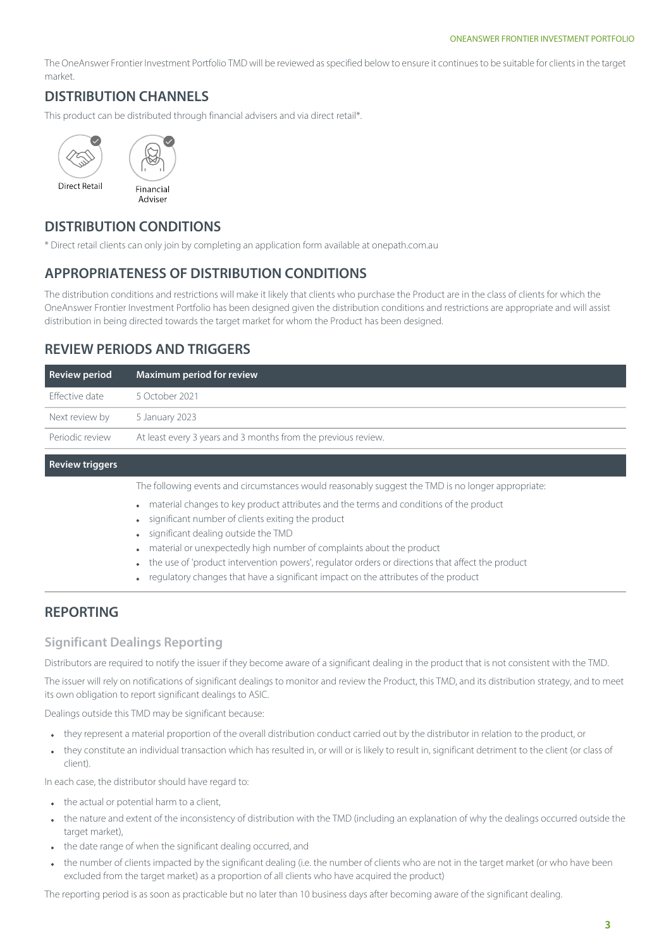The OneAnswer Frontier Investment Portfolio TMD will be reviewed as specified below to ensure it continues to be suitable for clients in the target market.

### **DISTRIBUTION CHANNELS**

This product can be distributed through financial advisers and via direct retail\*.



#### **DISTRIBUTION CONDITIONS**

\* Direct retail clients can only join by completing an application form available at [onepath.com.au](http://www.onepath.com.au/superandinvestment/forms-and-brochures.aspx)

#### **APPROPRIATENESS OF DISTRIBUTION CONDITIONS**

The distribution conditions and restrictions will make it likely that clients who purchase the Product are in the class of clients for which the OneAnswer Frontier Investment Portfolio has been designed given the distribution conditions and restrictions are appropriate and will assist distribution in being directed towards the target market for whom the Product has been designed.

### **REVIEW PERIODS AND TRIGGERS**

| <b>Review period</b>   | Maximum period for review                                     |
|------------------------|---------------------------------------------------------------|
| Effective date         | 5 October 2021                                                |
| Next review by         | 5 January 2023                                                |
| Periodic review        | At least every 3 years and 3 months from the previous review. |
| <b>Review triggers</b> |                                                               |

The following events and circumstances would reasonably suggest the TMD is no longer appropriate:

- material changes to key product attributes and the terms and conditions of the product
- significant number of clients exiting the product
- significant dealing outside the TMD
- material or unexpectedly high number of complaints about the product
- the use of 'product intervention powers', regulator orders or directions that affect the product
- regulatory changes that have a significant impact on the attributes of the product

### **REPORTING**

#### **Significant Dealings Reporting**

Distributors are required to notify the issuer if they become aware of a significant dealing in the product that is not consistent with the TMD.

The issuer will rely on notifications of significant dealings to monitor and review the Product, this TMD, and its distribution strategy, and to meet its own obligation to report significant dealings to ASIC.

Dealings outside this TMD may be significant because:

- they represent a material proportion of the overall distribution conduct carried out by the distributor in relation to the product, or  $\bullet$
- they constitute an individual transaction which has resulted in, or will or is likely to result in, significant detriment to the client (or class of client).

In each case, the distributor should have regard to:

- $\bullet$  the actual or potential harm to a client,
- the nature and extent of the inconsistency of distribution with the TMD (including an explanation of why the dealings occurred outside the target market),
- the date range of when the significant dealing occurred, and
- the number of clients impacted by the significant dealing (i.e. the number of clients who are not in the target market (or who have been excluded from the target market) as a proportion of all clients who have acquired the product)

The reporting period is as soon as practicable but no later than 10 business days after becoming aware of the significant dealing.